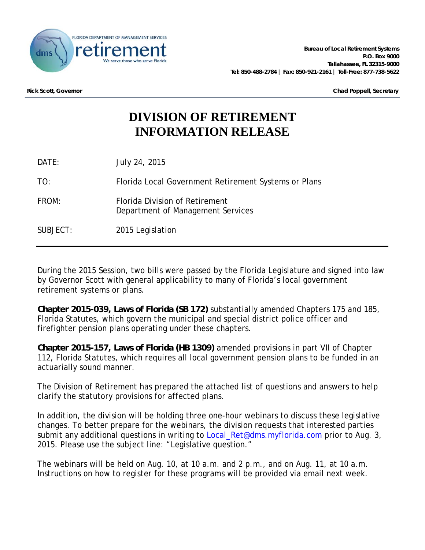

**Rick Scott, Governor Chad Poppell, Secretary**

# **DIVISION OF RETIREMENT INFORMATION RELEASE**

DATE: July 24, 2015

TO: Florida Local Government Retirement Systems or Plans

FROM: Florida Division of Retirement Department of Management Services

SUBJECT: 2015 Legislation

During the 2015 Session, two bills were passed by the Florida Legislature and signed into law by Governor Scott with general applicability to many of Florida's local government retirement systems or plans.

**Chapter 2015-039, Laws of Florida (SB 172)** substantially amended Chapters 175 and 185, Florida Statutes, which govern the municipal and special district police officer and firefighter pension plans operating under these chapters.

**Chapter 2015-157, Laws of Florida (HB 1309)** amended provisions in part VII of Chapter 112, Florida Statutes, which requires all local government pension plans to be funded in an actuarially sound manner.

The Division of Retirement has prepared the attached list of questions and answers to help clarify the statutory provisions for affected plans.

In addition, the division will be holding three one-hour webinars to discuss these legislative changes. To better prepare for the webinars, the division requests that interested parties submit any additional questions in writing to **Local\_Ret@dms.myflorida.com** prior to Aug. 3, 2015. Please use the subject line: "Legislative question."

The webinars will be held on Aug. 10, at 10 a.m. and 2 p.m., and on Aug. 11, at 10 a.m. Instructions on how to register for these programs will be provided via email next week.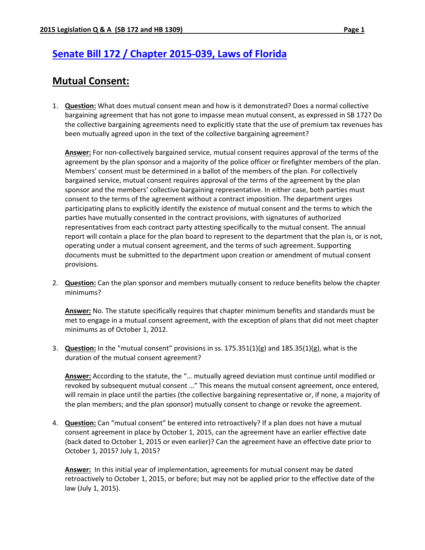# **Senate Bill 172 / Chapter 2015‐039, Laws of Florida**

## **Mutual Consent:**

1. **Question:** What does mutual consent mean and how is it demonstrated? Does a normal collective bargaining agreement that has not gone to impasse mean mutual consent, as expressed in SB 172? Do the collective bargaining agreements need to explicitly state that the use of premium tax revenues has been mutually agreed upon in the text of the collective bargaining agreement?

**Answer:** For non‐collectively bargained service, mutual consent requires approval of the terms of the agreement by the plan sponsor and a majority of the police officer or firefighter members of the plan. Members' consent must be determined in a ballot of the members of the plan. For collectively bargained service, mutual consent requires approval of the terms of the agreement by the plan sponsor and the members' collective bargaining representative. In either case, both parties must consent to the terms of the agreement without a contract imposition. The department urges participating plans to explicitly identify the existence of mutual consent and the terms to which the parties have mutually consented in the contract provisions, with signatures of authorized representatives from each contract party attesting specifically to the mutual consent. The annual report will contain a place for the plan board to represent to the department that the plan is, or is not, operating under a mutual consent agreement, and the terms of such agreement. Supporting documents must be submitted to the department upon creation or amendment of mutual consent provisions.

2. **Question:** Can the plan sponsor and members mutually consent to reduce benefits below the chapter minimums?

**Answer:** No. The statute specifically requires that chapter minimum benefits and standards must be met to engage in a mutual consent agreement, with the exception of plans that did not meet chapter minimums as of October 1, 2012.

3. **Question:** In the "mutual consent" provisions in ss. 175.351(1)(g) and 185.35(1)(g), what is the duration of the mutual consent agreement?

**Answer:** According to the statute, the "… mutually agreed deviation must continue until modified or revoked by subsequent mutual consent …" This means the mutual consent agreement, once entered, will remain in place until the parties (the collective bargaining representative or, if none, a majority of the plan members; and the plan sponsor) mutually consent to change or revoke the agreement.

4. **Question:** Can "mutual consent" be entered into retroactively? If a plan does not have a mutual consent agreement in place by October 1, 2015, can the agreement have an earlier effective date (back dated to October 1, 2015 or even earlier)? Can the agreement have an effective date prior to October 1, 2015? July 1, 2015?

**Answer:** In this initial year of implementation, agreements for mutual consent may be dated retroactively to October 1, 2015, or before; but may not be applied prior to the effective date of the law (July 1, 2015).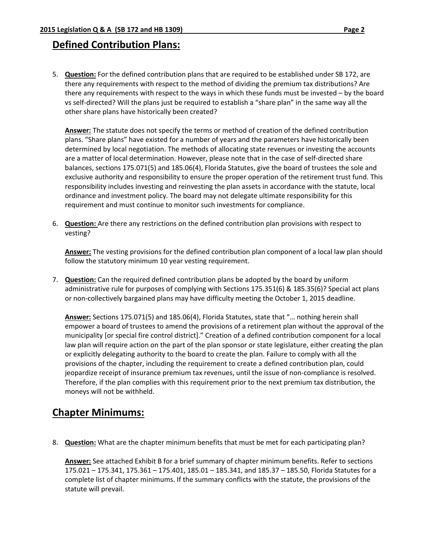### **Defined Contribution Plans:**

5. **Question:** For the defined contribution plans that are required to be established under SB 172, are there any requirements with respect to the method of dividing the premium tax distributions? Are there any requirements with respect to the ways in which these funds must be invested – by the board vs self‐directed? Will the plans just be required to establish a "share plan" in the same way all the other share plans have historically been created?

**Answer:** The statute does not specify the terms or method of creation of the defined contribution plans. "Share plans" have existed for a number of years and the parameters have historically been determined by local negotiation. The methods of allocating state revenues or investing the accounts are a matter of local determination. However, please note that in the case of self-directed share balances, sections 175.071(5) and 185.06(4), Florida Statutes, give the board of trustees the sole and exclusive authority and responsibility to ensure the proper operation of the retirement trust fund. This responsibility includes investing and reinvesting the plan assets in accordance with the statute, local ordinance and investment policy. The board may not delegate ultimate responsibility for this requirement and must continue to monitor such investments for compliance.

6. **Question:** Are there any restrictions on the defined contribution plan provisions with respect to vesting?

**Answer:** The vesting provisions for the defined contribution plan component of a local law plan should follow the statutory minimum 10 year vesting requirement.

7. **Question:** Can the required defined contribution plans be adopted by the board by uniform administrative rule for purposes of complying with Sections 175.351(6) & 185.35(6)? Special act plans or non‐collectively bargained plans may have difficulty meeting the October 1, 2015 deadline.

**Answer:** Sections 175.071(5) and 185.06(4), Florida Statutes, state that "… nothing herein shall empower a board of trustees to amend the provisions of a retirement plan without the approval of the municipality [or special fire control district]." Creation of a defined contribution component for a local law plan will require action on the part of the plan sponsor or state legislature, either creating the plan or explicitly delegating authority to the board to create the plan. Failure to comply with all the provisions of the chapter, including the requirement to create a defined contribution plan, could jeopardize receipt of insurance premium tax revenues, until the issue of non‐compliance is resolved. Therefore, if the plan complies with this requirement prior to the next premium tax distribution, the moneys will not be withheld.

### **Chapter Minimums:**

8. **Question:** What are the chapter minimum benefits that must be met for each participating plan?

**Answer:** See attached Exhibit B for a brief summary of chapter minimum benefits. Refer to sections 175.021 – 175.341, 175.361 – 175.401, 185.01 – 185.341, and 185.37 – 185.50, Florida Statutes for a complete list of chapter minimums. If the summary conflicts with the statute, the provisions of the statute will prevail.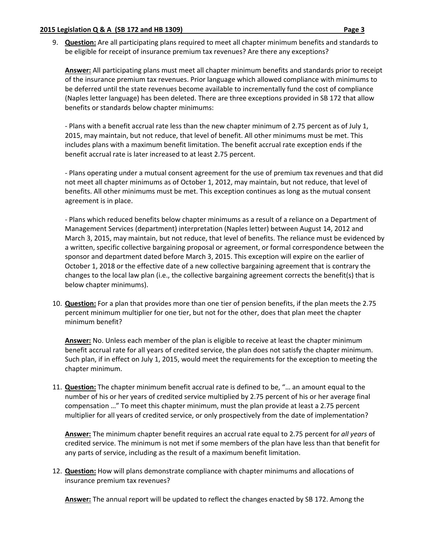9. **Question:** Are all participating plans required to meet all chapter minimum benefits and standards to be eligible for receipt of insurance premium tax revenues? Are there any exceptions?

**Answer:** All participating plans must meet all chapter minimum benefits and standards prior to receipt of the insurance premium tax revenues. Prior language which allowed compliance with minimums to be deferred until the state revenues become available to incrementally fund the cost of compliance (Naples letter language) has been deleted. There are three exceptions provided in SB 172 that allow benefits or standards below chapter minimums:

‐ Plans with a benefit accrual rate less than the new chapter minimum of 2.75 percent as of July 1, 2015, may maintain, but not reduce, that level of benefit. All other minimums must be met. This includes plans with a maximum benefit limitation. The benefit accrual rate exception ends if the benefit accrual rate is later increased to at least 2.75 percent.

‐ Plans operating under a mutual consent agreement for the use of premium tax revenues and that did not meet all chapter minimums as of October 1, 2012, may maintain, but not reduce, that level of benefits. All other minimums must be met. This exception continues as long as the mutual consent agreement is in place.

‐ Plans which reduced benefits below chapter minimums as a result of a reliance on a Department of Management Services (department) interpretation (Naples letter) between August 14, 2012 and March 3, 2015, may maintain, but not reduce, that level of benefits. The reliance must be evidenced by a written, specific collective bargaining proposal or agreement, or formal correspondence between the sponsor and department dated before March 3, 2015. This exception will expire on the earlier of October 1, 2018 or the effective date of a new collective bargaining agreement that is contrary the changes to the local law plan (i.e., the collective bargaining agreement corrects the benefit(s) that is below chapter minimums).

10. **Question:** For a plan that provides more than one tier of pension benefits, if the plan meets the 2.75 percent minimum multiplier for one tier, but not for the other, does that plan meet the chapter minimum benefit?

**Answer:** No. Unless each member of the plan is eligible to receive at least the chapter minimum benefit accrual rate for all years of credited service, the plan does not satisfy the chapter minimum. Such plan, if in effect on July 1, 2015, would meet the requirements for the exception to meeting the chapter minimum.

11. **Question:** The chapter minimum benefit accrual rate is defined to be, "… an amount equal to the number of his or her years of credited service multiplied by 2.75 percent of his or her average final compensation …" To meet this chapter minimum, must the plan provide at least a 2.75 percent multiplier for all years of credited service, or only prospectively from the date of implementation?

**Answer:** The minimum chapter benefit requires an accrual rate equal to 2.75 percent for *all years* of credited service. The minimum is not met if some members of the plan have less than that benefit for any parts of service, including as the result of a maximum benefit limitation.

12. **Question:** How will plans demonstrate compliance with chapter minimums and allocations of insurance premium tax revenues?

**Answer:** The annual report will be updated to reflect the changes enacted by SB 172. Among the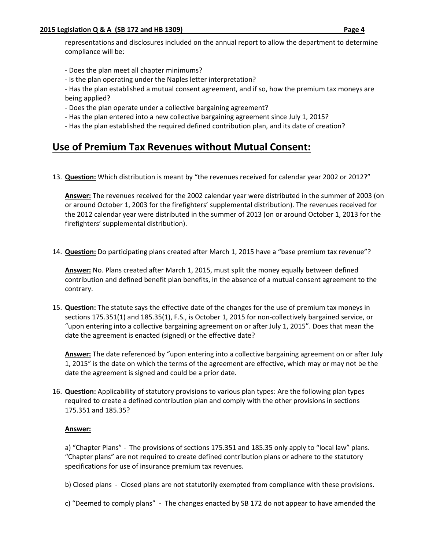representations and disclosures included on the annual report to allow the department to determine compliance will be:

- ‐ Does the plan meet all chapter minimums?
- ‐ Is the plan operating under the Naples letter interpretation?
- ‐ Has the plan established a mutual consent agreement, and if so, how the premium tax moneys are being applied?
- ‐ Does the plan operate under a collective bargaining agreement?
- ‐ Has the plan entered into a new collective bargaining agreement since July 1, 2015?
- ‐ Has the plan established the required defined contribution plan, and its date of creation?

### **Use of Premium Tax Revenues without Mutual Consent:**

13. **Question:** Which distribution is meant by "the revenues received for calendar year 2002 or 2012?"

**Answer:** The revenues received for the 2002 calendar year were distributed in the summer of 2003 (on or around October 1, 2003 for the firefighters' supplemental distribution). The revenues received for the 2012 calendar year were distributed in the summer of 2013 (on or around October 1, 2013 for the firefighters' supplemental distribution).

14. **Question:** Do participating plans created after March 1, 2015 have a "base premium tax revenue"?

**Answer:** No. Plans created after March 1, 2015, must split the money equally between defined contribution and defined benefit plan benefits, in the absence of a mutual consent agreement to the contrary.

15. **Question:** The statute says the effective date of the changes for the use of premium tax moneys in sections 175.351(1) and 185.35(1), F.S., is October 1, 2015 for non-collectively bargained service, or "upon entering into a collective bargaining agreement on or after July 1, 2015". Does that mean the date the agreement is enacted (signed) or the effective date?

**Answer:** The date referenced by "upon entering into a collective bargaining agreement on or after July 1, 2015" is the date on which the terms of the agreement are effective, which may or may not be the date the agreement is signed and could be a prior date.

16. **Question:** Applicability of statutory provisions to various plan types: Are the following plan types required to create a defined contribution plan and comply with the other provisions in sections 175.351 and 185.35?

### **Answer:**

a) "Chapter Plans" ‐ The provisions of sections 175.351 and 185.35 only apply to "local law" plans. "Chapter plans" are not required to create defined contribution plans or adhere to the statutory specifications for use of insurance premium tax revenues.

b) Closed plans - Closed plans are not statutorily exempted from compliance with these provisions.

c) "Deemed to comply plans" ‐ The changes enacted by SB 172 do not appear to have amended the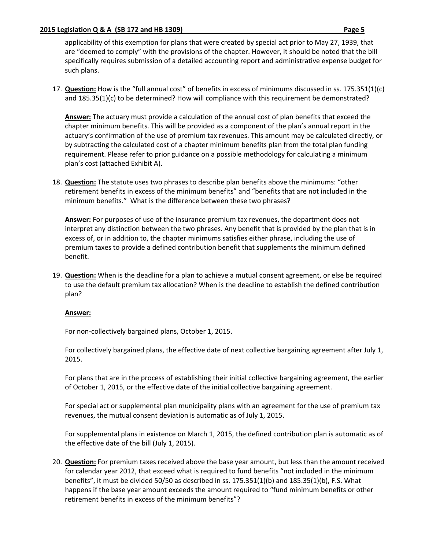#### **2015 Legislation Q & A (SB 172 and HB 1309) Page 5**

applicability of this exemption for plans that were created by special act prior to May 27, 1939, that are "deemed to comply" with the provisions of the chapter. However, it should be noted that the bill specifically requires submission of a detailed accounting report and administrative expense budget for such plans.

17. **Question:** How is the "full annual cost" of benefits in excess of minimums discussed in ss. 175.351(1)(c) and 185.35(1)(c) to be determined? How will compliance with this requirement be demonstrated?

**Answer:** The actuary must provide a calculation of the annual cost of plan benefits that exceed the chapter minimum benefits. This will be provided as a component of the plan's annual report in the actuary's confirmation of the use of premium tax revenues. This amount may be calculated directly, or by subtracting the calculated cost of a chapter minimum benefits plan from the total plan funding requirement. Please refer to prior guidance on a possible methodology for calculating a minimum plan's cost (attached Exhibit A).

18. **Question:** The statute uses two phrases to describe plan benefits above the minimums: "other retirement benefits in excess of the minimum benefits" and "benefits that are not included in the minimum benefits." What is the difference between these two phrases?

**Answer:** For purposes of use of the insurance premium tax revenues, the department does not interpret any distinction between the two phrases. Any benefit that is provided by the plan that is in excess of, or in addition to, the chapter minimums satisfies either phrase, including the use of premium taxes to provide a defined contribution benefit that supplements the minimum defined benefit.

19. **Question:** When is the deadline for a plan to achieve a mutual consent agreement, or else be required to use the default premium tax allocation? When is the deadline to establish the defined contribution plan?

#### **Answer:**

For non‐collectively bargained plans, October 1, 2015.

For collectively bargained plans, the effective date of next collective bargaining agreement after July 1, 2015.

For plans that are in the process of establishing their initial collective bargaining agreement, the earlier of October 1, 2015, or the effective date of the initial collective bargaining agreement.

For special act or supplemental plan municipality plans with an agreement for the use of premium tax revenues, the mutual consent deviation is automatic as of July 1, 2015.

For supplemental plans in existence on March 1, 2015, the defined contribution plan is automatic as of the effective date of the bill (July 1, 2015).

20. **Question:** For premium taxes received above the base year amount, but less than the amount received for calendar year 2012, that exceed what is required to fund benefits "not included in the minimum benefits", it must be divided 50/50 as described in ss. 175.351(1)(b) and 185.35(1)(b), F.S. What happens if the base year amount exceeds the amount required to "fund minimum benefits or other retirement benefits in excess of the minimum benefits"?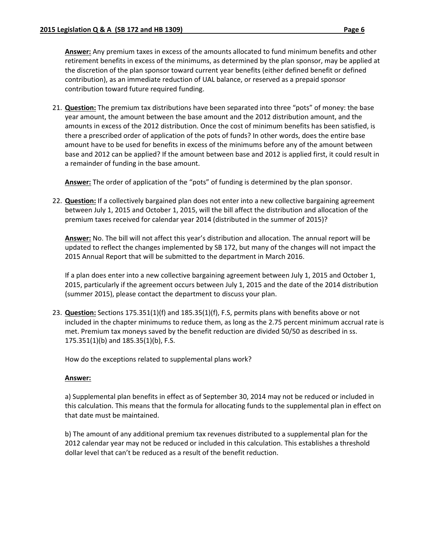**Answer:** Any premium taxes in excess of the amounts allocated to fund minimum benefits and other retirement benefits in excess of the minimums, as determined by the plan sponsor, may be applied at the discretion of the plan sponsor toward current year benefits (either defined benefit or defined contribution), as an immediate reduction of UAL balance, or reserved as a prepaid sponsor contribution toward future required funding.

21. **Question:** The premium tax distributions have been separated into three "pots" of money: the base year amount, the amount between the base amount and the 2012 distribution amount, and the amounts in excess of the 2012 distribution. Once the cost of minimum benefits has been satisfied, is there a prescribed order of application of the pots of funds? In other words, does the entire base amount have to be used for benefits in excess of the minimums before any of the amount between base and 2012 can be applied? If the amount between base and 2012 is applied first, it could result in a remainder of funding in the base amount.

**Answer:** The order of application of the "pots" of funding is determined by the plan sponsor.

22. **Question:** If a collectively bargained plan does not enter into a new collective bargaining agreement between July 1, 2015 and October 1, 2015, will the bill affect the distribution and allocation of the premium taxes received for calendar year 2014 (distributed in the summer of 2015)?

**Answer:** No. The bill will not affect this year's distribution and allocation. The annual report will be updated to reflect the changes implemented by SB 172, but many of the changes will not impact the 2015 Annual Report that will be submitted to the department in March 2016.

If a plan does enter into a new collective bargaining agreement between July 1, 2015 and October 1, 2015, particularly if the agreement occurs between July 1, 2015 and the date of the 2014 distribution (summer 2015), please contact the department to discuss your plan.

23. **Question:** Sections 175.351(1)(f) and 185.35(1)(f), F.S, permits plans with benefits above or not included in the chapter minimums to reduce them, as long as the 2.75 percent minimum accrual rate is met. Premium tax moneys saved by the benefit reduction are divided 50/50 as described in ss. 175.351(1)(b) and 185.35(1)(b), F.S.

How do the exceptions related to supplemental plans work?

### **Answer:**

a) Supplemental plan benefits in effect as of September 30, 2014 may not be reduced or included in this calculation. This means that the formula for allocating funds to the supplemental plan in effect on that date must be maintained.

b) The amount of any additional premium tax revenues distributed to a supplemental plan for the 2012 calendar year may not be reduced or included in this calculation. This establishes a threshold dollar level that can't be reduced as a result of the benefit reduction.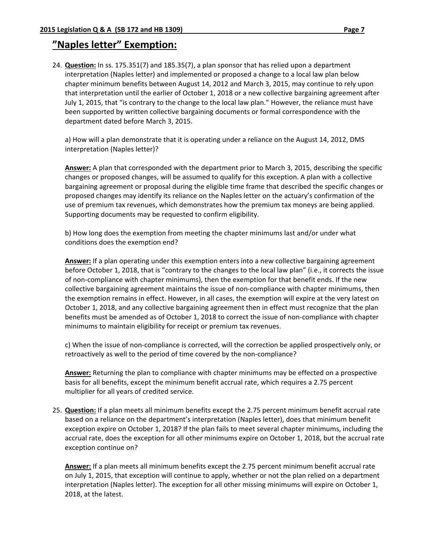24. **Question:** In ss. 175.351(7) and 185.35(7), a plan sponsor that has relied upon a department interpretation (Naples letter) and implemented or proposed a change to a local law plan below chapter minimum benefits between August 14, 2012 and March 3, 2015, may continue to rely upon that interpretation until the earlier of October 1, 2018 or a new collective bargaining agreement after July 1, 2015, that "is contrary to the change to the local law plan." However, the reliance must have been supported by written collective bargaining documents or formal correspondence with the department dated before March 3, 2015.

a) How will a plan demonstrate that it is operating under a reliance on the August 14, 2012, DMS interpretation (Naples letter)?

**Answer:** A plan that corresponded with the department prior to March 3, 2015, describing the specific changes or proposed changes, will be assumed to qualify for this exception. A plan with a collective bargaining agreement or proposal during the eligible time frame that described the specific changes or proposed changes may identify its reliance on the Naples letter on the actuary's confirmation of the use of premium tax revenues, which demonstrates how the premium tax moneys are being applied. Supporting documents may be requested to confirm eligibility.

b) How long does the exemption from meeting the chapter minimums last and/or under what conditions does the exemption end?

**Answer:** If a plan operating under this exemption enters into a new collective bargaining agreement before October 1, 2018, that is "contrary to the changes to the local law plan" (i.e., it corrects the issue of non‐compliance with chapter minimums), then the exemption for that benefit ends. If the new collective bargaining agreement maintains the issue of non‐compliance with chapter minimums, then the exemption remains in effect. However, in all cases, the exemption will expire at the very latest on October 1, 2018, and any collective bargaining agreement then in effect must recognize that the plan benefits must be amended as of October 1, 2018 to correct the issue of non‐compliance with chapter minimums to maintain eligibility for receipt or premium tax revenues.

c) When the issue of non‐compliance is corrected, will the correction be applied prospectively only, or retroactively as well to the period of time covered by the non‐compliance?

**Answer:** Returning the plan to compliance with chapter minimums may be effected on a prospective basis for all benefits, except the minimum benefit accrual rate, which requires a 2.75 percent multiplier for all years of credited service.

25. **Question:** If a plan meets all minimum benefits except the 2.75 percent minimum benefit accrual rate based on a reliance on the department's interpretation (Naples letter), does that minimum benefit exception expire on October 1, 2018? If the plan fails to meet several chapter minimums, including the accrual rate, does the exception for all other minimums expire on October 1, 2018, but the accrual rate exception continue on?

**Answer:** If a plan meets all minimum benefits except the 2.75 percent minimum benefit accrual rate on July 1, 2015, that exception will continue to apply, whether or not the plan relied on a department interpretation (Naples letter). The exception for all other missing minimums will expire on October 1, 2018, at the latest.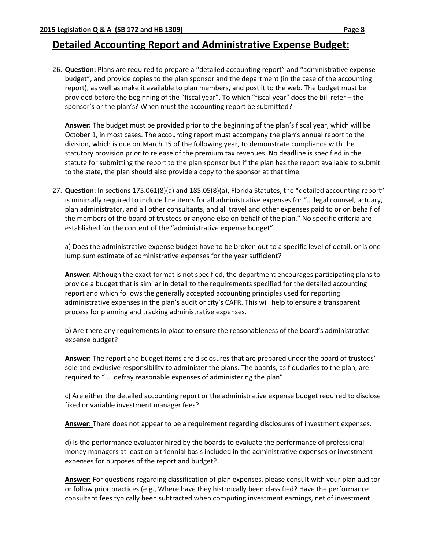### **Detailed Accounting Report and Administrative Expense Budget:**

26. **Question:** Plans are required to prepare a "detailed accounting report" and "administrative expense budget", and provide copies to the plan sponsor and the department (in the case of the accounting report), as well as make it available to plan members, and post it to the web. The budget must be provided before the beginning of the "fiscal year". To which "fiscal year" does the bill refer – the sponsor's or the plan's? When must the accounting report be submitted?

**Answer:** The budget must be provided prior to the beginning of the plan's fiscal year, which will be October 1, in most cases. The accounting report must accompany the plan's annual report to the division, which is due on March 15 of the following year, to demonstrate compliance with the statutory provision prior to release of the premium tax revenues. No deadline is specified in the statute for submitting the report to the plan sponsor but if the plan has the report available to submit to the state, the plan should also provide a copy to the sponsor at that time.

27. **Question:** In sections 175.061(8)(a) and 185.05(8)(a), Florida Statutes, the "detailed accounting report" is minimally required to include line items for all administrative expenses for "… legal counsel, actuary, plan administrator, and all other consultants, and all travel and other expenses paid to or on behalf of the members of the board of trustees or anyone else on behalf of the plan." No specific criteria are established for the content of the "administrative expense budget".

a) Does the administrative expense budget have to be broken out to a specific level of detail, or is one lump sum estimate of administrative expenses for the year sufficient?

**Answer:** Although the exact format is not specified, the department encourages participating plans to provide a budget that is similar in detail to the requirements specified for the detailed accounting report and which follows the generally accepted accounting principles used for reporting administrative expenses in the plan's audit or city's CAFR. This will help to ensure a transparent process for planning and tracking administrative expenses.

b) Are there any requirements in place to ensure the reasonableness of the board's administrative expense budget?

**Answer:** The report and budget items are disclosures that are prepared under the board of trustees' sole and exclusive responsibility to administer the plans. The boards, as fiduciaries to the plan, are required to "…. defray reasonable expenses of administering the plan".

c) Are either the detailed accounting report or the administrative expense budget required to disclose fixed or variable investment manager fees?

**Answer:** There does not appear to be a requirement regarding disclosures of investment expenses.

d) Is the performance evaluator hired by the boards to evaluate the performance of professional money managers at least on a triennial basis included in the administrative expenses or investment expenses for purposes of the report and budget?

**Answer:** For questions regarding classification of plan expenses, please consult with your plan auditor or follow prior practices (e.g., Where have they historically been classified? Have the performance consultant fees typically been subtracted when computing investment earnings, net of investment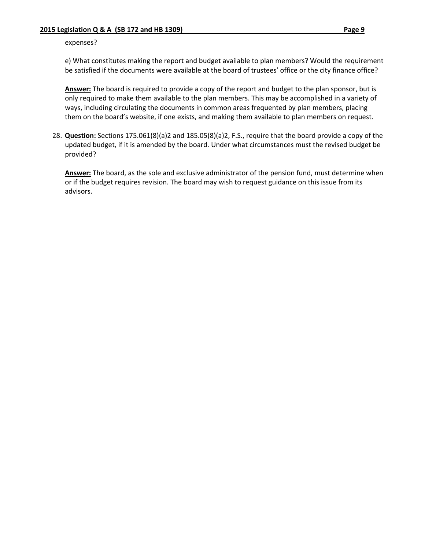#### expenses?

e) What constitutes making the report and budget available to plan members? Would the requirement be satisfied if the documents were available at the board of trustees' office or the city finance office?

**Answer:** The board is required to provide a copy of the report and budget to the plan sponsor, but is only required to make them available to the plan members. This may be accomplished in a variety of ways, including circulating the documents in common areas frequented by plan members, placing them on the board's website, if one exists, and making them available to plan members on request.

28. **Question:** Sections 175.061(8)(a)2 and 185.05(8)(a)2, F.S., require that the board provide a copy of the updated budget, if it is amended by the board. Under what circumstances must the revised budget be provided?

**Answer:** The board, as the sole and exclusive administrator of the pension fund, must determine when or if the budget requires revision. The board may wish to request guidance on this issue from its advisors.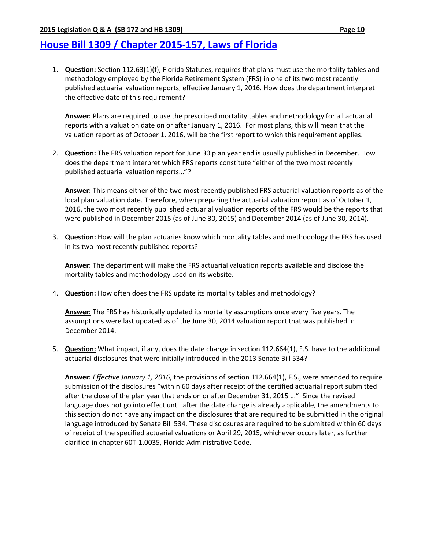# **House Bill 1309 / Chapter 2015‐157, Laws of Florida**

1. **Question:** Section 112.63(1)(f), Florida Statutes, requires that plans must use the mortality tables and methodology employed by the Florida Retirement System (FRS) in one of its two most recently published actuarial valuation reports, effective January 1, 2016. How does the department interpret the effective date of this requirement?

**Answer:** Plans are required to use the prescribed mortality tables and methodology for all actuarial reports with a valuation date on or after January 1, 2016. For most plans, this will mean that the valuation report as of October 1, 2016, will be the first report to which this requirement applies.

2. **Question:** The FRS valuation report for June 30 plan year end is usually published in December. How does the department interpret which FRS reports constitute "either of the two most recently published actuarial valuation reports…"?

**Answer:** This means either of the two most recently published FRS actuarial valuation reports as of the local plan valuation date. Therefore, when preparing the actuarial valuation report as of October 1, 2016, the two most recently published actuarial valuation reports of the FRS would be the reports that were published in December 2015 (as of June 30, 2015) and December 2014 (as of June 30, 2014).

3. **Question:** How will the plan actuaries know which mortality tables and methodology the FRS has used in its two most recently published reports?

**Answer:** The department will make the FRS actuarial valuation reports available and disclose the mortality tables and methodology used on its website.

4. **Question:** How often does the FRS update its mortality tables and methodology?

**Answer:** The FRS has historically updated its mortality assumptions once every five years. The assumptions were last updated as of the June 30, 2014 valuation report that was published in December 2014.

5. **Question:** What impact, if any, does the date change in section 112.664(1), F.S. have to the additional actuarial disclosures that were initially introduced in the 2013 Senate Bill 534?

**Answer:** *Effective January 1, 2016*, the provisions of section 112.664(1), F.S., were amended to require submission of the disclosures "within 60 days after receipt of the certified actuarial report submitted after the close of the plan year that ends on or after December 31, 2015 ..." Since the revised language does not go into effect until after the date change is already applicable, the amendments to this section do not have any impact on the disclosures that are required to be submitted in the original language introduced by Senate Bill 534. These disclosures are required to be submitted within 60 days of receipt of the specified actuarial valuations or April 29, 2015, whichever occurs later, as further clarified in chapter 60T‐1.0035, Florida Administrative Code.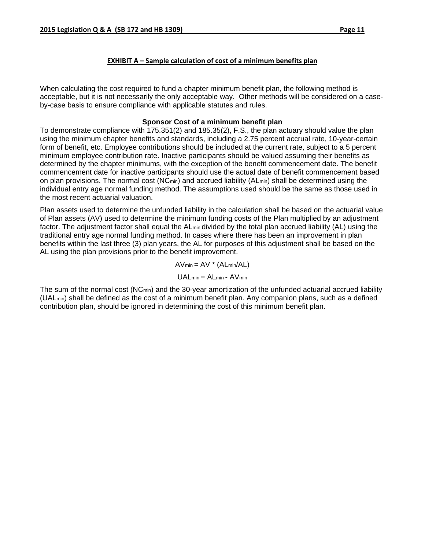### **EXHIBIT A – Sample calculation of cost of a minimum benefits plan**

When calculating the cost required to fund a chapter minimum benefit plan, the following method is acceptable, but it is not necessarily the only acceptable way. Other methods will be considered on a caseby-case basis to ensure compliance with applicable statutes and rules.

### **Sponsor Cost of a minimum benefit plan**

To demonstrate compliance with 175.351(2) and 185.35(2), F.S., the plan actuary should value the plan using the minimum chapter benefits and standards, including a 2.75 percent accrual rate, 10-year-certain form of benefit, etc. Employee contributions should be included at the current rate, subject to a 5 percent minimum employee contribution rate. Inactive participants should be valued assuming their benefits as determined by the chapter minimums, with the exception of the benefit commencement date. The benefit commencement date for inactive participants should use the actual date of benefit commencement based on plan provisions. The normal cost (NCmin) and accrued liability (ALmin) shall be determined using the individual entry age normal funding method. The assumptions used should be the same as those used in the most recent actuarial valuation.

Plan assets used to determine the unfunded liability in the calculation shall be based on the actuarial value of Plan assets (AV) used to determine the minimum funding costs of the Plan multiplied by an adjustment factor. The adjustment factor shall equal the ALmin divided by the total plan accrued liability (AL) using the traditional entry age normal funding method. In cases where there has been an improvement in plan benefits within the last three (3) plan years, the AL for purposes of this adjustment shall be based on the AL using the plan provisions prior to the benefit improvement.

 $AV_{min} = AV * (AL_{min}/AL)$ 

$$
UAL_{min} = AL_{min} - AV_{min}
$$

The sum of the normal cost (NCmin) and the 30-year amortization of the unfunded actuarial accrued liability (UALmin) shall be defined as the cost of a minimum benefit plan. Any companion plans, such as a defined contribution plan, should be ignored in determining the cost of this minimum benefit plan.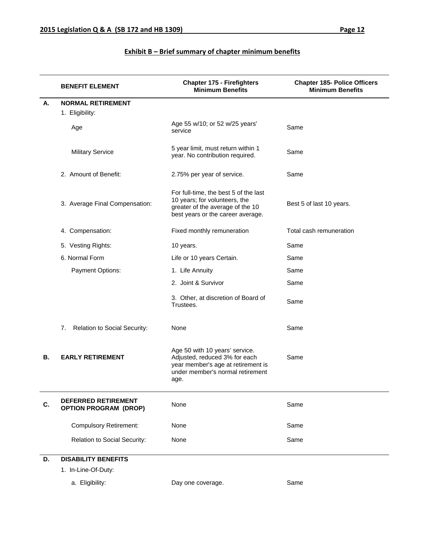|           | <b>BENEFIT ELEMENT</b>                                     | <b>Chapter 175 - Firefighters</b><br><b>Minimum Benefits</b>                                                                                      | <b>Chapter 185- Police Officers</b><br><b>Minimum Benefits</b> |
|-----------|------------------------------------------------------------|---------------------------------------------------------------------------------------------------------------------------------------------------|----------------------------------------------------------------|
| А.        | <b>NORMAL RETIREMENT</b>                                   |                                                                                                                                                   |                                                                |
|           | 1. Eligibility:                                            |                                                                                                                                                   |                                                                |
|           | Age                                                        | Age 55 w/10; or 52 w/25 years'<br>service                                                                                                         | Same                                                           |
|           | <b>Military Service</b>                                    | 5 year limit, must return within 1<br>year. No contribution required.                                                                             | Same                                                           |
|           | 2. Amount of Benefit:                                      | 2.75% per year of service.                                                                                                                        | Same                                                           |
|           | 3. Average Final Compensation:                             | For full-time, the best 5 of the last<br>10 years; for volunteers, the<br>greater of the average of the 10<br>best years or the career average.   | Best 5 of last 10 years.                                       |
|           | 4. Compensation:                                           | Fixed monthly remuneration                                                                                                                        | Total cash remuneration                                        |
|           | 5. Vesting Rights:                                         | 10 years.                                                                                                                                         | Same                                                           |
|           | 6. Normal Form                                             | Life or 10 years Certain.                                                                                                                         | Same                                                           |
|           | Payment Options:                                           | 1. Life Annuity                                                                                                                                   | Same                                                           |
|           |                                                            | 2. Joint & Survivor                                                                                                                               | Same                                                           |
|           |                                                            | 3. Other, at discretion of Board of<br>Trustees.                                                                                                  | Same                                                           |
|           | 7.<br><b>Relation to Social Security:</b>                  | None                                                                                                                                              | Same                                                           |
| <b>B.</b> | <b>EARLY RETIREMENT</b>                                    | Age 50 with 10 years' service.<br>Adjusted, reduced 3% for each<br>year member's age at retirement is<br>under member's normal retirement<br>age. | Same                                                           |
| C.        | <b>DEFERRED RETIREMENT</b><br><b>OPTION PROGRAM (DROP)</b> | None                                                                                                                                              | Same                                                           |
|           | <b>Compulsory Retirement:</b>                              | None                                                                                                                                              | Same                                                           |
|           | Relation to Social Security:                               | None                                                                                                                                              | Same                                                           |
| D.        | <b>DISABILITY BENEFITS</b>                                 |                                                                                                                                                   |                                                                |
|           | 1. In-Line-Of-Duty:                                        |                                                                                                                                                   |                                                                |
|           | a. Eligibility:                                            | Day one coverage.                                                                                                                                 | Same                                                           |

### **Exhibit B – Brief summary of chapter minimum benefits**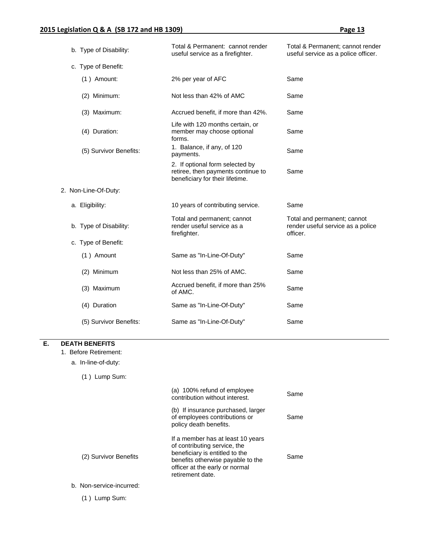| b. Type of Disability: | Total & Permanent: cannot render<br>useful service as a firefighter.                                     | Total & Permanent; cannot render<br>useful service as a police officer.      |
|------------------------|----------------------------------------------------------------------------------------------------------|------------------------------------------------------------------------------|
| c. Type of Benefit:    |                                                                                                          |                                                                              |
| $(1)$ Amount:          | 2% per year of AFC                                                                                       | Same                                                                         |
| (2) Minimum:           | Not less than 42% of AMC                                                                                 | Same                                                                         |
| (3) Maximum:           | Accrued benefit, if more than 42%.                                                                       | Same                                                                         |
| (4) Duration:          | Life with 120 months certain, or<br>member may choose optional<br>forms.                                 | Same                                                                         |
| (5) Survivor Benefits: | 1. Balance, if any, of 120<br>payments.                                                                  | Same                                                                         |
|                        | 2. If optional form selected by<br>retiree, then payments continue to<br>beneficiary for their lifetime. | Same                                                                         |
| 2. Non-Line-Of-Duty:   |                                                                                                          |                                                                              |
| a. Eligibility:        | 10 years of contributing service.                                                                        | Same                                                                         |
| b. Type of Disability: | Total and permanent; cannot<br>render useful service as a<br>firefighter.                                | Total and permanent; cannot<br>render useful service as a police<br>officer. |
| c. Type of Benefit:    |                                                                                                          |                                                                              |
| (1) Amount             | Same as "In-Line-Of-Duty"                                                                                | Same                                                                         |
| (2) Minimum            | Not less than 25% of AMC.                                                                                | Same                                                                         |
| (3) Maximum            | Accrued benefit, if more than 25%<br>of AMC.                                                             | Same                                                                         |
| (4) Duration           | Same as "In-Line-Of-Duty"                                                                                | Same                                                                         |
| (5) Survivor Benefits: | Same as "In-Line-Of-Duty"                                                                                | Same                                                                         |

#### **E. DEATH BENEFITS**

1. Before Retirement:

a. In-line-of-duty:

(1 ) Lump Sum:

|                          | (a) 100% refund of employee<br>contribution without interest.                                                                                                                                  | Same |
|--------------------------|------------------------------------------------------------------------------------------------------------------------------------------------------------------------------------------------|------|
|                          | (b) If insurance purchased, larger<br>of employees contributions or<br>policy death benefits.                                                                                                  | Same |
| (2) Survivor Benefits    | If a member has at least 10 years<br>of contributing service, the<br>beneficiary is entitled to the<br>benefits otherwise payable to the<br>officer at the early or normal<br>retirement date. | Same |
| b. Non-service-incurred: |                                                                                                                                                                                                |      |

(1 ) Lump Sum: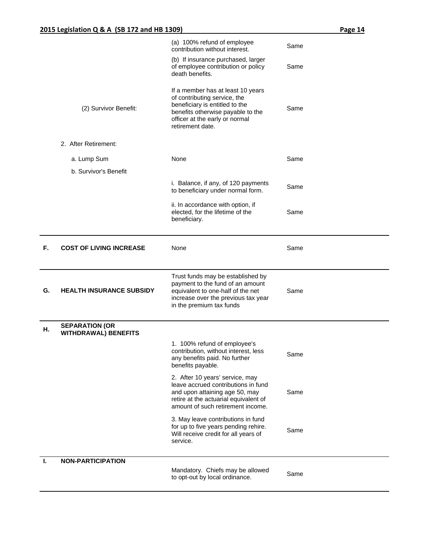|    |                                                      | (a) 100% refund of employee<br>contribution without interest.                                                                                                                                  | Same |
|----|------------------------------------------------------|------------------------------------------------------------------------------------------------------------------------------------------------------------------------------------------------|------|
|    |                                                      | (b) If insurance purchased, larger<br>of employee contribution or policy<br>death benefits.                                                                                                    | Same |
|    | (2) Survivor Benefit:                                | If a member has at least 10 years<br>of contributing service, the<br>beneficiary is entitled to the<br>benefits otherwise payable to the<br>officer at the early or normal<br>retirement date. | Same |
|    | 2. After Retirement:                                 |                                                                                                                                                                                                |      |
|    | a. Lump Sum                                          | None                                                                                                                                                                                           | Same |
|    | b. Survivor's Benefit                                |                                                                                                                                                                                                |      |
|    |                                                      | i. Balance, if any, of 120 payments<br>to beneficiary under normal form.                                                                                                                       | Same |
|    |                                                      | ii. In accordance with option, if<br>elected, for the lifetime of the<br>beneficiary.                                                                                                          | Same |
| F. | <b>COST OF LIVING INCREASE</b>                       | None                                                                                                                                                                                           | Same |
| G. |                                                      | Trust funds may be established by<br>payment to the fund of an amount<br>equivalent to one-half of the net                                                                                     | Same |
|    | <b>HEALTH INSURANCE SUBSIDY</b>                      | increase over the previous tax year<br>in the premium tax funds                                                                                                                                |      |
| Η. | <b>SEPARATION (OR</b><br><b>WITHDRAWAL) BENEFITS</b> |                                                                                                                                                                                                |      |
|    |                                                      | 1. 100% refund of employee's<br>contribution, without interest, less<br>any benefits paid. No further<br>benefits payable.                                                                     | Same |
|    |                                                      | 2. After 10 years' service, may<br>leave accrued contributions in fund<br>and upon attaining age 50, may<br>retire at the actuarial equivalent of<br>amount of such retirement income.         | Same |
|    |                                                      | 3. May leave contributions in fund<br>for up to five years pending rehire.<br>Will receive credit for all years of<br>service.                                                                 | Same |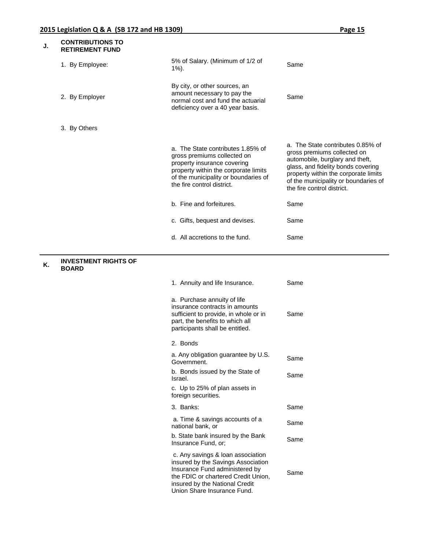| J. | <b>CONTRIBUTIONS TO</b><br><b>RETIREMENT FUND</b> |                                                                                                                                                                                                                   |                                                                                                                                                                                                                                                         |
|----|---------------------------------------------------|-------------------------------------------------------------------------------------------------------------------------------------------------------------------------------------------------------------------|---------------------------------------------------------------------------------------------------------------------------------------------------------------------------------------------------------------------------------------------------------|
|    | 1. By Employee:                                   | 5% of Salary. (Minimum of 1/2 of<br>$1\%$ ).                                                                                                                                                                      | Same                                                                                                                                                                                                                                                    |
|    | 2. By Employer                                    | By city, or other sources, an<br>amount necessary to pay the<br>normal cost and fund the actuarial<br>deficiency over a 40 year basis.                                                                            | Same                                                                                                                                                                                                                                                    |
|    | 3. By Others                                      |                                                                                                                                                                                                                   |                                                                                                                                                                                                                                                         |
|    |                                                   | a. The State contributes 1.85% of<br>gross premiums collected on<br>property insurance covering<br>property within the corporate limits<br>of the municipality or boundaries of<br>the fire control district.     | a. The State contributes 0.85% of<br>gross premiums collected on<br>automobile, burglary and theft,<br>glass, and fidelity bonds covering<br>property within the corporate limits<br>of the municipality or boundaries of<br>the fire control district. |
|    |                                                   | b. Fine and forfeitures.                                                                                                                                                                                          | Same                                                                                                                                                                                                                                                    |
|    |                                                   | c. Gifts, bequest and devises.                                                                                                                                                                                    | Same                                                                                                                                                                                                                                                    |
|    |                                                   | d. All accretions to the fund.                                                                                                                                                                                    | Same                                                                                                                                                                                                                                                    |
| Κ. | <b>INVESTMENT RIGHTS OF</b><br><b>BOARD</b>       |                                                                                                                                                                                                                   |                                                                                                                                                                                                                                                         |
|    |                                                   | 1. Annuity and life Insurance.                                                                                                                                                                                    | Same                                                                                                                                                                                                                                                    |
|    |                                                   | a. Purchase annuity of life<br>insurance contracts in amounts<br>sufficient to provide, in whole or in<br>part, the benefits to which all<br>participants shall be entitled.                                      | Same                                                                                                                                                                                                                                                    |
|    |                                                   | 2. Bonds                                                                                                                                                                                                          |                                                                                                                                                                                                                                                         |
|    |                                                   | a. Any obligation guarantee by U.S.<br>Government.                                                                                                                                                                | Same                                                                                                                                                                                                                                                    |
|    |                                                   | b. Bonds issued by the State of<br>Israel.                                                                                                                                                                        | Same                                                                                                                                                                                                                                                    |
|    |                                                   | c. Up to 25% of plan assets in<br>foreign securities.                                                                                                                                                             |                                                                                                                                                                                                                                                         |
|    |                                                   | 3. Banks:                                                                                                                                                                                                         | Same                                                                                                                                                                                                                                                    |
|    |                                                   | a. Time & savings accounts of a<br>national bank, or                                                                                                                                                              | Same                                                                                                                                                                                                                                                    |
|    |                                                   | b. State bank insured by the Bank<br>Insurance Fund, or;                                                                                                                                                          | Same                                                                                                                                                                                                                                                    |
|    |                                                   | c. Any savings & loan association<br>insured by the Savings Association<br>Insurance Fund administered by<br>the FDIC or chartered Credit Union,<br>insured by the National Credit<br>Union Share Insurance Fund. | Same                                                                                                                                                                                                                                                    |